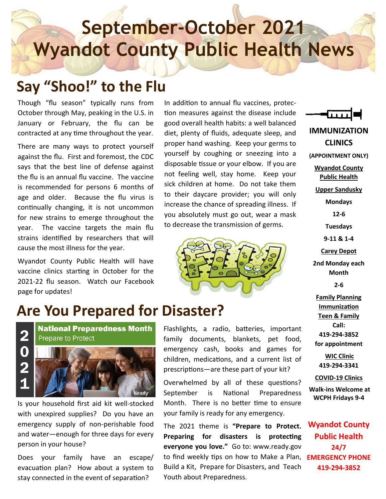# **September-October 2021 Wyandot County Public Health News**

#### **Say "Shoo!" to the Flu**

Though "flu season" typically runs from October through May, peaking in the U.S. in January or February, the flu can be contracted at any time throughout the year.

There are many ways to protect yourself against the flu. First and foremost, the CDC says that the best line of defense against the flu is an annual flu vaccine. The vaccine is recommended for persons 6 months of age and older. Because the flu virus is continually changing, it is not uncommon for new strains to emerge throughout the year. The vaccine targets the main flu strains identified by researchers that will cause the most illness for the year.

Wyandot County Public Health will have vaccine clinics starting in October for the 2021-22 flu season. Watch our Facebook page for updates!

In addition to annual flu vaccines, protection measures against the disease include good overall health habits: a well balanced diet, plenty of fluids, adequate sleep, and proper hand washing. Keep your germs to yourself by coughing or sneezing into a disposable tissue or your elbow. If you are not feeling well, stay home. Keep your sick children at home. Do not take them to their daycare provider; you will only increase the chance of spreading illness. If you absolutely must go out, wear a mask to decrease the transmission of germs.



ய **IMMUNIZATION CLINICS (APPOINTMENT ONLY) Wyandot County Public Health Upper Sandusky Mondays 12-6 Tuesdays 9-11 & 1-4 Carey Depot 2nd Monday each Month 2-6**

**Family Planning Immunization Teen & Family Call: 419-294-3852 for appointment** 

**WIC Clinic 419-294-3341**

**COVID-19 Clinics**

**Walk-ins Welcome at WCPH Fridays 9-4**

**Wyandot County Public Health 24/7 419-294-3852**

### **Are You Prepared for Disaster?**



Is your household first aid kit well-stocked with unexpired supplies? Do you have an emergency supply of non-perishable food and water—enough for three days for every person in your house?

Does your family have an escape/ evacuation plan? How about a system to stay connected in the event of separation?

Flashlights, a radio, batteries, important family documents, blankets, pet food, emergency cash, books and games for children, medications, and a current list of prescriptions—are these part of your kit?

Overwhelmed by all of these questions? September is National Preparedness Month. There is no better time to ensure your family is ready for any emergency.

The 2021 theme is **"Prepare to Protect. Preparing for disasters is protecting everyone you love."** Go to: www.ready.gov to find weekly tips on how to Make a Plan, **EMERGENCY PHONE**  Build a Kit, Prepare for Disasters, and Teach Youth about Preparedness.